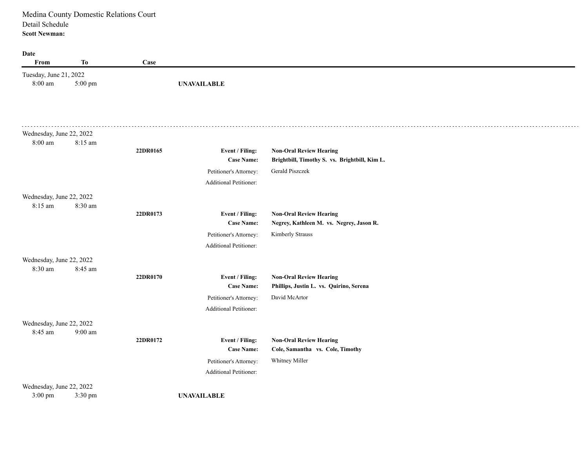**Date From To Case** Tuesday, June 21, 2022 8:00 am **UNAVAILABLE** 5:00 pm  $\sim 100$ Wednesday, June 22, 2022 8:00 am 8:15 am **22DR0165 Event / Filing: Non-Oral Review Hearing Case Name: Brightbill, Timothy S. vs. Brightbill, Kim L.** Petitioner's Attorney: Gerald Piszczek Additional Petitioner: Wednesday, June 22, 2022 8:15 am 8:30 am **22DR0173 Event / Filing: Non-Oral Review Hearing Case Name: Negrey, Kathleen M. vs. Negrey, Jason R.** Petitioner's Attorney: Kimberly Strauss Additional Petitioner: Wednesday, June 22, 2022 8:30 am 8:45 am **22DR0170 Event / Filing: Non-Oral Review Hearing Case Name: Phillips, Justin L. vs. Quirino, Serena**  Petitioner's Attorney: David McArtor Additional Petitioner: Wednesday, June 22, 2022 8:45 am 9:00 am **22DR0172 Event / Filing: Non-Oral Review Hearing Case Name: Cole, Samantha vs. Cole, Timothy**  Petitioner's Attorney: Whitney Miller Additional Petitioner: Wednesday, June 22, 2022 3:00 pm **UNAVAILABLE** 3:30 pm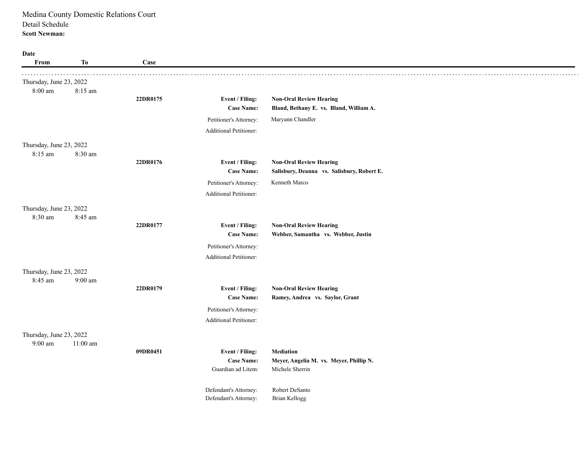| Date<br>From            | To         | Case     |                                         |                                                            |
|-------------------------|------------|----------|-----------------------------------------|------------------------------------------------------------|
| Thursday, June 23, 2022 |            |          |                                         |                                                            |
| 8:00 am                 | 8:15 am    |          |                                         |                                                            |
|                         |            | 22DR0175 | Event / Filing:                         | <b>Non-Oral Review Hearing</b>                             |
|                         |            |          | <b>Case Name:</b>                       | Bland, Bethany E. vs. Bland, William A.                    |
|                         |            |          | Petitioner's Attorney:                  | Maryann Chandler                                           |
|                         |            |          | Additional Petitioner:                  |                                                            |
| Thursday, June 23, 2022 |            |          |                                         |                                                            |
| 8:15 am                 | 8:30 am    | 22DR0176 | Event / Filing:                         | <b>Non-Oral Review Hearing</b>                             |
|                         |            |          | <b>Case Name:</b>                       | Salisbury, Deanna vs. Salisbury, Robert E.                 |
|                         |            |          | Petitioner's Attorney:                  | Kenneth Marco                                              |
|                         |            |          | <b>Additional Petitioner:</b>           |                                                            |
| Thursday, June 23, 2022 |            |          |                                         |                                                            |
| 8:30 am                 | 8:45 am    |          |                                         |                                                            |
|                         |            | 22DR0177 | Event / Filing:                         | <b>Non-Oral Review Hearing</b>                             |
|                         |            |          | <b>Case Name:</b>                       | Webber, Samantha vs. Webber, Justin                        |
|                         |            |          | Petitioner's Attorney:                  |                                                            |
|                         |            |          | <b>Additional Petitioner:</b>           |                                                            |
| Thursday, June 23, 2022 |            |          |                                         |                                                            |
| 8:45 am                 | 9:00 am    | 22DR0179 | Event / Filing:                         | <b>Non-Oral Review Hearing</b>                             |
|                         |            |          | <b>Case Name:</b>                       | Ramey, Andrea vs. Saylor, Grant                            |
|                         |            |          | Petitioner's Attorney:                  |                                                            |
|                         |            |          | Additional Petitioner:                  |                                                            |
| Thursday, June 23, 2022 |            |          |                                         |                                                            |
| 9:00 am                 | $11:00$ am |          |                                         |                                                            |
|                         |            | 09DR0451 | Event / Filing:                         | <b>Mediation</b>                                           |
|                         |            |          | <b>Case Name:</b><br>Guardian ad Litem: | Meyer, Angelia M. vs. Meyer, Phillip N.<br>Michele Sherrin |
|                         |            |          |                                         |                                                            |
|                         |            |          | Defendant's Attorney:                   | Robert DeSanto                                             |
|                         |            |          | Defendant's Attorney:                   | Brian Kellogg                                              |
|                         |            |          |                                         |                                                            |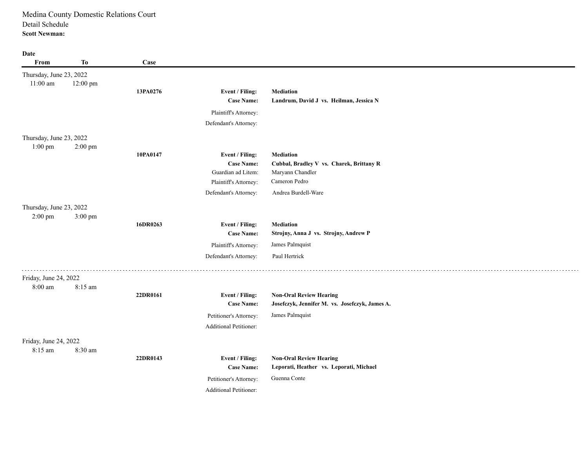| Date                    |           |          |                               |                                                |
|-------------------------|-----------|----------|-------------------------------|------------------------------------------------|
| From                    | Тo        | Case     |                               |                                                |
| Thursday, June 23, 2022 |           |          |                               |                                                |
| $11:00$ am              | 12:00 pm  |          |                               |                                                |
|                         |           | 13PA0276 | Event / Filing:               | Mediation                                      |
|                         |           |          | <b>Case Name:</b>             | Landrum, David J vs. Heilman, Jessica N        |
|                         |           |          | Plaintiff's Attorney:         |                                                |
|                         |           |          | Defendant's Attorney:         |                                                |
| Thursday, June 23, 2022 |           |          |                               |                                                |
| $1:00$ pm               | $2:00$ pm |          |                               |                                                |
|                         |           | 10PA0147 | Event / Filing:               | <b>Mediation</b>                               |
|                         |           |          | <b>Case Name:</b>             | Cubbal, Bradley V vs. Charek, Brittany R       |
|                         |           |          | Guardian ad Litem:            | Maryann Chandler                               |
|                         |           |          | Plaintiff's Attorney:         | Cameron Pedro                                  |
|                         |           |          | Defendant's Attorney:         | Andrea Burdell-Ware                            |
| Thursday, June 23, 2022 |           |          |                               |                                                |
| $2:00$ pm               | 3:00 pm   |          |                               |                                                |
|                         |           | 16DR0263 | Event / Filing:               | <b>Mediation</b>                               |
|                         |           |          | <b>Case Name:</b>             | Strojny, Anna J vs. Strojny, Andrew P          |
|                         |           |          | Plaintiff's Attorney:         | James Palmquist                                |
|                         |           |          | Defendant's Attorney:         | Paul Hertrick                                  |
|                         |           |          |                               |                                                |
| Friday, June 24, 2022   |           |          |                               |                                                |
| 8:00 am                 | 8:15 am   |          |                               |                                                |
|                         |           | 22DR0161 | Event / Filing:               | <b>Non-Oral Review Hearing</b>                 |
|                         |           |          | <b>Case Name:</b>             | Josefczyk, Jennifer M. vs. Josefczyk, James A. |
|                         |           |          | Petitioner's Attorney:        | James Palmquist                                |
|                         |           |          | <b>Additional Petitioner:</b> |                                                |
| Friday, June 24, 2022   |           |          |                               |                                                |
| 8:15 am                 | 8:30 am   |          |                               |                                                |
|                         |           | 22DR0143 | Event / Filing:               | <b>Non-Oral Review Hearing</b>                 |
|                         |           |          | <b>Case Name:</b>             | Leporati, Heather vs. Leporati, Michael        |
|                         |           |          | Petitioner's Attorney:        | Guenna Conte                                   |
|                         |           |          | <b>Additional Petitioner:</b> |                                                |
|                         |           |          |                               |                                                |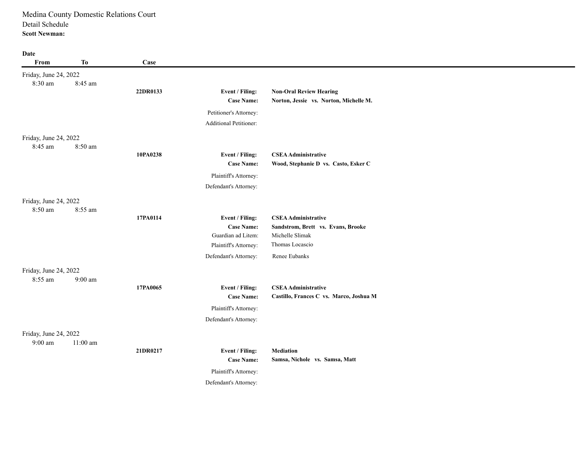| Date                               |            |          |                                         |                                                       |
|------------------------------------|------------|----------|-----------------------------------------|-------------------------------------------------------|
| From                               | <b>To</b>  | Case     |                                         |                                                       |
| Friday, June 24, 2022              |            |          |                                         |                                                       |
| 8:30 am                            | 8:45 am    |          |                                         |                                                       |
|                                    |            | 22DR0133 | Event / Filing:                         | <b>Non-Oral Review Hearing</b>                        |
|                                    |            |          | <b>Case Name:</b>                       | Norton, Jessie vs. Norton, Michelle M.                |
|                                    |            |          | Petitioner's Attorney:                  |                                                       |
|                                    |            |          | Additional Petitioner:                  |                                                       |
| Friday, June 24, 2022              |            |          |                                         |                                                       |
| 8:45 am                            | 8:50 am    |          |                                         |                                                       |
|                                    |            | 10PA0238 | Event / Filing:                         | <b>CSEA Administrative</b>                            |
|                                    |            |          | <b>Case Name:</b>                       | Wood, Stephanie D vs. Casto, Esker C                  |
|                                    |            |          | Plaintiff's Attorney:                   |                                                       |
|                                    |            |          | Defendant's Attorney:                   |                                                       |
| Friday, June 24, 2022              |            |          |                                         |                                                       |
| 8:50 am                            | 8:55 am    |          |                                         |                                                       |
|                                    |            | 17PA0114 | Event / Filing:                         | <b>CSEA Administrative</b>                            |
|                                    |            |          | <b>Case Name:</b><br>Guardian ad Litem: | Sandstrom, Brett vs. Evans, Brooke<br>Michelle Slimak |
|                                    |            |          | Plaintiff's Attorney:                   | Thomas Locascio                                       |
|                                    |            |          | Defendant's Attorney:                   | Renee Eubanks                                         |
|                                    |            |          |                                         |                                                       |
| Friday, June 24, 2022              |            |          |                                         |                                                       |
| 8:55 am                            | 9:00 am    | 17PA0065 | Event / Filing:                         | <b>CSEA Administrative</b>                            |
|                                    |            |          | <b>Case Name:</b>                       | Castillo, Frances C vs. Marco, Joshua M               |
|                                    |            |          | Plaintiff's Attorney:                   |                                                       |
|                                    |            |          | Defendant's Attorney:                   |                                                       |
|                                    |            |          |                                         |                                                       |
| Friday, June 24, 2022<br>$9:00$ am | $11:00$ am |          |                                         |                                                       |
|                                    |            | 21DR0217 | Event / Filing:                         | <b>Mediation</b>                                      |
|                                    |            |          | <b>Case Name:</b>                       | Samsa, Nichole vs. Samsa, Matt                        |
|                                    |            |          | Plaintiff's Attorney:                   |                                                       |
|                                    |            |          | Defendant's Attorney:                   |                                                       |
|                                    |            |          |                                         |                                                       |